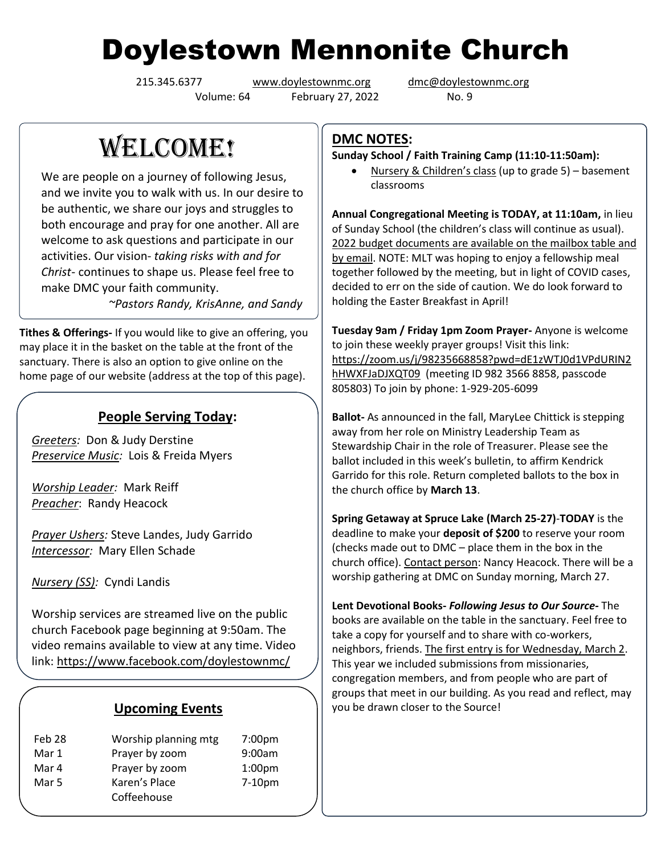# Doylestown Mennonite Church

Volume: 64 February 27, 2022 No. 9

215.345.6377 [www.doylestownmc.org](http://www.doylestownmc.org/) [dmc@doylestownmc.org](mailto:dmc@doylestownmc.org)

WELCOME!

We are people on a journey of following Jesus, and we invite you to walk with us. In our desire to be authentic, we share our joys and struggles to both encourage and pray for one another. All are welcome to ask questions and participate in our activities. Our vision- *taking risks with and for Christ*- continues to shape us. Please feel free to make DMC your faith community.

 *~Pastors Randy, KrisAnne, and Sandy*

**Tithes & Offerings-** If you would like to give an offering, you may place it in the basket on the table at the front of the sanctuary. There is also an option to give online on the home page of our website (address at the top of this page).

### **People Serving Today:**

*Greeters:* Don & Judy Derstine *Preservice Music:* Lois & Freida Myers

*Worship Leader:* Mark Reiff *Preacher*: Randy Heacock

*Prayer Ushers:* Steve Landes, Judy Garrido *Intercessor:* Mary Ellen Schade

*Nursery (SS):* Cyndi Landis

Worship services are streamed live on the public church Facebook page beginning at 9:50am. The video remains available to view at any time. Video link: <https://www.facebook.com/doylestownmc/>

#### **Upcoming Events**

| Feb 28 | Worship planning mtg | 7:00 <sub>pm</sub> |
|--------|----------------------|--------------------|
| Mar 1  | Prayer by zoom       | 9:00am             |
| Mar 4  | Prayer by zoom       | 1:00 <sub>pm</sub> |
| Mar 5  | Karen's Place        | $7-10pm$           |
|        | Coffeehouse          |                    |

#### **DMC NOTES:**

**Sunday School / Faith Training Camp (11:10-11:50am):**

• Nursery & Children's class (up to grade 5) – basement classrooms

**Annual Congregational Meeting is TODAY, at 11:10am,** in lieu of Sunday School (the children's class will continue as usual). 2022 budget documents are available on the mailbox table and by email. NOTE: MLT was hoping to enjoy a fellowship meal together followed by the meeting, but in light of COVID cases, decided to err on the side of caution. We do look forward to holding the Easter Breakfast in April!

**Tuesday 9am / Friday 1pm Zoom Prayer-** Anyone is welcome to join these weekly prayer groups! Visit this link: [https://zoom.us/j/98235668858?pwd=dE1zWTJ0d1VPdURIN2](https://zoom.us/j/98235668858?pwd=dE1zWTJ0d1VPdURIN2hHWXFJaDJXQT09) [hHWXFJaDJXQT09](https://zoom.us/j/98235668858?pwd=dE1zWTJ0d1VPdURIN2hHWXFJaDJXQT09) (meeting ID 982 3566 8858, passcode 805803) To join by phone: 1-929-205-6099

**Ballot-** As announced in the fall, MaryLee Chittick is stepping away from her role on Ministry Leadership Team as Stewardship Chair in the role of Treasurer. Please see the ballot included in this week's bulletin, to affirm Kendrick Garrido for this role. Return completed ballots to the box in the church office by **March 13**.

**Spring Getaway at Spruce Lake (March 25-27)**-**TODAY** is the deadline to make your **deposit of \$200** to reserve your room (checks made out to DMC – place them in the box in the church office). Contact person: Nancy Heacock. There will be a worship gathering at DMC on Sunday morning, March 27.

**Lent Devotional Books-** *Following Jesus to Our Source-* The books are available on the table in the sanctuary. Feel free to take a copy for yourself and to share with co-workers, neighbors, friends. The first entry is for Wednesday, March 2. This year we included submissions from missionaries, congregation members, and from people who are part of groups that meet in our building. As you read and reflect, may you be drawn closer to the Source!